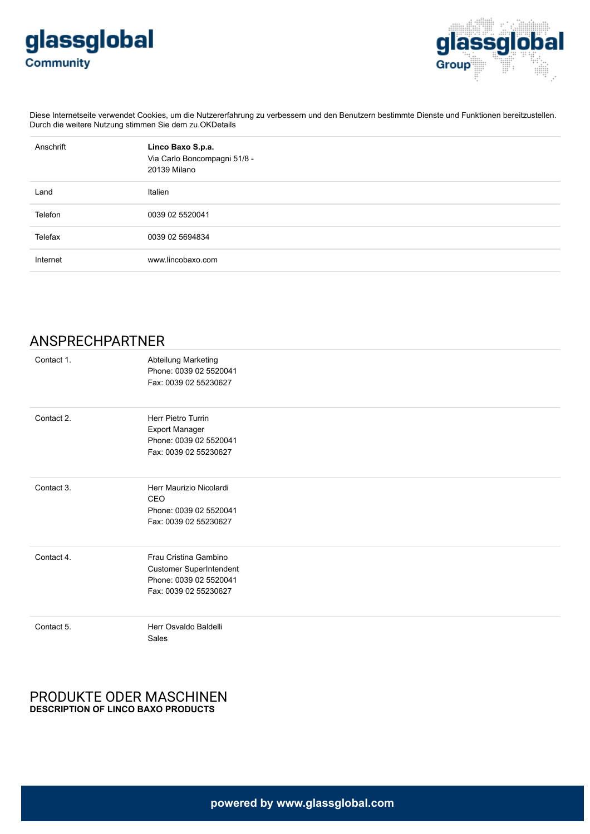



Diese Internetseite verwendet Cookies, um die Nutzererfahrung zu verbessern und den Benutzern bestimmte Dienste und Funktionen bereitzustellen. Durch die weitere Nutzung stimmen Sie dem zu.OKDetails

| Anschrift | Linco Baxo S.p.a.<br>Via Carlo Boncompagni 51/8 -<br>20139 Milano |
|-----------|-------------------------------------------------------------------|
| Land      | Italien                                                           |
| Telefon   | 0039 02 5520041                                                   |
| Telefax   | 0039 02 5694834                                                   |
| Internet  | www.lincobaxo.com                                                 |

# ANSPRECHPARTNER

| Contact 1. | Abteilung Marketing<br>Phone: 0039 02 5520041<br>Fax: 0039 02 55230627                                     |
|------------|------------------------------------------------------------------------------------------------------------|
| Contact 2. | Herr Pietro Turrin<br><b>Export Manager</b><br>Phone: 0039 02 5520041<br>Fax: 0039 02 55230627             |
| Contact 3. | Herr Maurizio Nicolardi<br>CEO<br>Phone: 0039 02 5520041<br>Fax: 0039 02 55230627                          |
| Contact 4. | Frau Cristina Gambino<br><b>Customer SuperIntendent</b><br>Phone: 0039 02 5520041<br>Fax: 0039 02 55230627 |
| Contact 5. | Herr Osvaldo Baldelli<br>Sales                                                                             |

### PRODUKTE ODER MASCHINEN **DESCRIPTION OF LINCO BAXO PRODUCTS**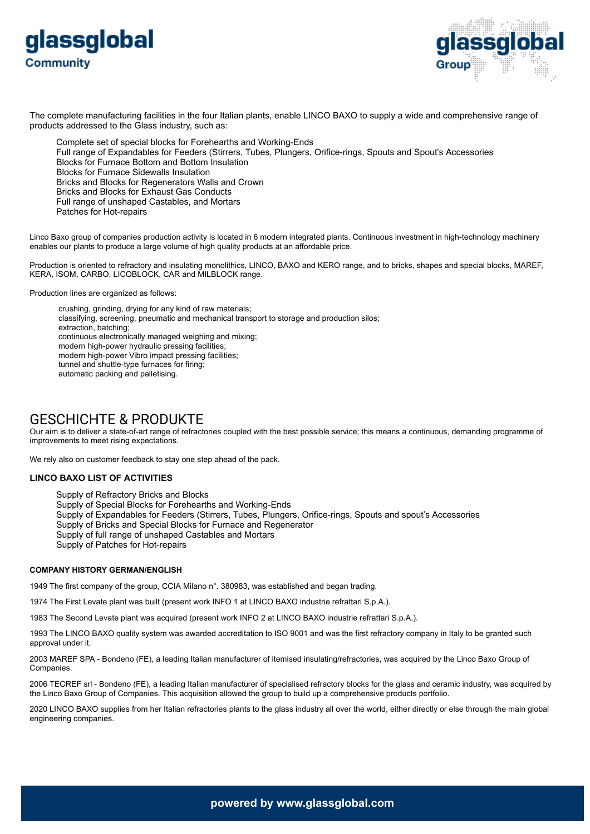



The complete manufacturing facilities in the four Italian plants, enable LINCO BAXO to supply a wide and comprehensive range of products addressed to the Glass industry, such as:

Complete set of special blocks for Forehearths and Working-Ends Full range of Expandables for Feeders (Stirrers, Tubes, Plungers, Orifice-rings, Spouts and Spout's Accessories Blocks for Furnace Bottom and Bottom Insulation Blocks for Furnace Sidewalls Insulation Bricks and Blocks for Regenerators Walls and Crown Bricks and Blocks for Exhaust Gas Conducts Full range of unshaped Castables, and Mortars Patches for Hot-repairs

Linco Baxo group of companies production activity is located in 6 modern integrated plants. Continuous investment in high-technology machinery enables our plants to produce a large volume of high quality products at an affordable price.

Production is oriented to refractory and insulating monolithics, LINCO, BAXO and KERO range, and to bricks, shapes and special blocks, MAREF, KERA, ISOM, CARBO, LICOBLOCK, CAR and MILBLOCK range.

Production lines are organized as follows:

 crushing, grinding, drying for any kind of raw materials; classifying, screening, pneumatic and mechanical transport to storage and production silos; extraction, batching; continuous electronically managed weighing and mixing; modern high-power hydraulic pressing facilities; modern high-power Vibro impact pressing facilities; tunnel and shuttle-type furnaces for firing; automatic packing and palletising.

## GESCHICHTE & PRODUKTE

Our aim is to deliver a state-of-art range of refractories coupled with the best possible service; this means a continuous, demanding programme of improvements to meet rising expectations.

We rely also on customer feedback to stay one step ahead of the pack.

#### **LINCO BAXO LIST OF ACTIVITIES**

Supply of Refractory Bricks and Blocks Supply of Special Blocks for Forehearths and Working-Ends Supply of Expandables for Feeders (Stirrers, Tubes, Plungers, Orifice-rings, Spouts and spout's Accessories Supply of Bricks and Special Blocks for Furnace and Regenerator Supply of full range of unshaped Castables and Mortars Supply of Patches for Hot-repairs

#### **COMPANY HISTORY GERMAN/ENGLISH**

1949 The first company of the group, CCIA Milano n°. 380983, was established and began trading.

1974 The First Levate plant was built (present work INFO 1 at LINCO BAXO industrie refrattari S.p.A.).

1983 The Second Levate plant was acquired (present work INFO 2 at LINCO BAXO industrie refrattari S.p.A.).

1993 The LINCO BAXO quality system was awarded accreditation to ISO 9001 and was the first refractory company in Italy to be granted such approval under it.

2003 MAREF SPA - Bondeno (FE), a leading Italian manufacturer of itemised insulating/refractories, was acquired by the Linco Baxo Group of **Companies** 

2006 TECREF srl - Bondeno (FE), a leading Italian manufacturer of specialised refractory blocks for the glass and ceramic industry, was acquired by the Linco Baxo Group of Companies. This acquisition allowed the group to build up a comprehensive products portfolio.

2020 LINCO BAXO supplies from her Italian refractories plants to the glass industry all over the world, either directly or else through the main global engineering companies.